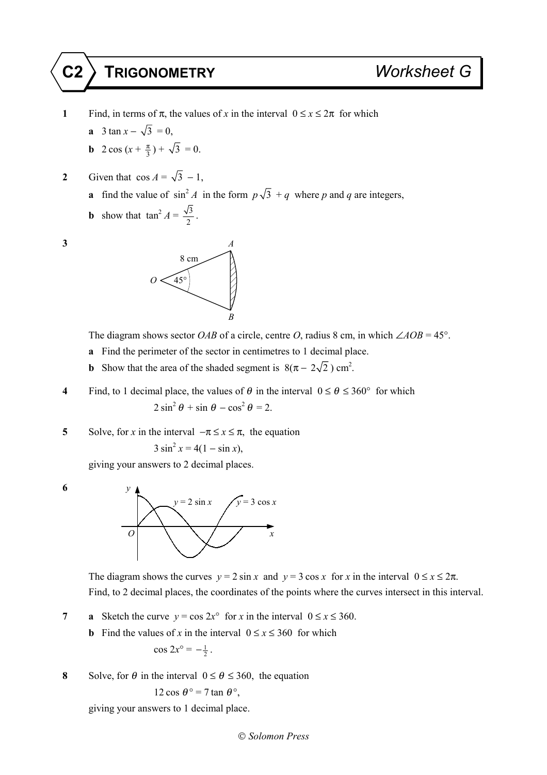## **C2 TRIGONOMETRY** *Worksheet G*

- **1** Find, in terms of  $\pi$ , the values of *x* in the interval  $0 \le x \le 2\pi$  for which
	- **a** 3 tan  $x \sqrt{3} = 0$ ,
	- **b**  $2 \cos(x + \frac{\pi}{3}) + \sqrt{3} = 0.$
- **2** Given that  $\cos A = \sqrt{3} 1$ ,
	- **a** find the value of  $\sin^2 A$  in the form  $p\sqrt{3} + q$  where *p* and *q* are integers,
	- **b** show that  $\tan^2 A = \frac{\sqrt{3}}{2}$ .





The diagram shows sector *OAB* of a circle, centre *O*, radius 8 cm, in which  $\angle AOB = 45^\circ$ .

- **a** Find the perimeter of the sector in centimetres to 1 decimal place.
- **b** Show that the area of the shaded segment is  $8(\pi 2\sqrt{2})$  cm<sup>2</sup>.
- **4** Find, to 1 decimal place, the values of  $\theta$  in the interval  $0 \le \theta \le 360^{\circ}$  for which  $2 \sin^2 \theta + \sin \theta - \cos^2 \theta = 2$ .

**5** Solve, for *x* in the interval  $-\pi \le x \le \pi$ , the equation

$$
3\sin^2 x = 4(1 - \sin x),
$$

giving your answers to 2 decimal places.



The diagram shows the curves  $y = 2 \sin x$  and  $y = 3 \cos x$  for *x* in the interval  $0 \le x \le 2\pi$ . Find, to 2 decimal places, the coordinates of the points where the curves intersect in this interval.

**7 a** Sketch the curve  $y = \cos 2x^{\circ}$  for *x* in the interval  $0 \le x \le 360$ .

- **b** Find the values of *x* in the interval  $0 \le x \le 360$  for which  $\cos 2x^{\circ} = -\frac{1}{2}$ .
- **8** Solve, for  $\theta$  in the interval  $0 \le \theta \le 360$ , the equation

$$
12\cos\theta^\circ = 7\tan\theta^\circ,
$$

giving your answers to 1 decimal place.